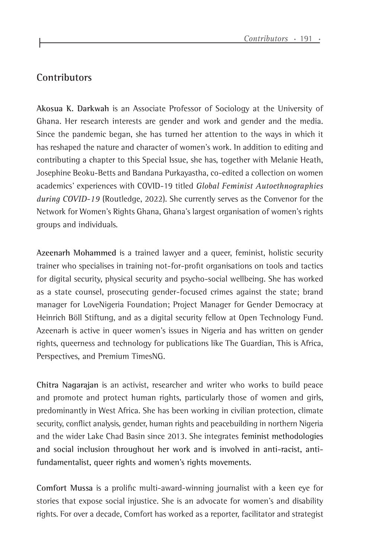## **Contributors**

**Akosua K. Darkwah** is an Associate Professor of Sociology at the University of Ghana. Her research interests are gender and work and gender and the media. Since the pandemic began, she has turned her attention to the ways in which it has reshaped the nature and character of women's work. In addition to editing and contributing a chapter to this Special Issue, she has, together with Melanie Heath, Josephine Beoku-Betts and Bandana Purkayastha, co-edited a collection on women academics' experiences with COVID-19 titled *Global Feminist Autoethnographies during COVID-19* (Routledge, 2022). She currently serves as the Convenor for the Network for Women's Rights Ghana, Ghana's largest organisation of women's rights groups and individuals.

**Azeenarh Mohammed** is a trained lawyer and a queer, feminist, holistic security trainer who specialises in training not-for-profit organisations on tools and tactics for digital security, physical security and psycho-social wellbeing. She has worked as a state counsel, prosecuting gender-focused crimes against the state; brand manager for LoveNigeria Foundation; Project Manager for Gender Democracy at Heinrich Böll Stiftung, and as a digital security fellow at Open Technology Fund. Azeenarh is active in queer women's issues in Nigeria and has written on gender rights, queerness and technology for publications like The Guardian, This is Africa, Perspectives, and Premium TimesNG.

**Chitra Nagarajan** is an activist, researcher and writer who works to build peace and promote and protect human rights, particularly those of women and girls, predominantly in West Africa. She has been working in civilian protection, climate security, conflict analysis, gender, human rights and peacebuilding in northern Nigeria and the wider Lake Chad Basin since 2013. She integrates feminist methodologies and social inclusion throughout her work and is involved in anti-racist, antifundamentalist, queer rights and women's rights movements*.*

**Comfort Mussa** is a prolific multi-award-winning journalist with a keen eye for stories that expose social injustice. She is an advocate for women's and disability rights. For over a decade, Comfort has worked as a reporter, facilitator and strategist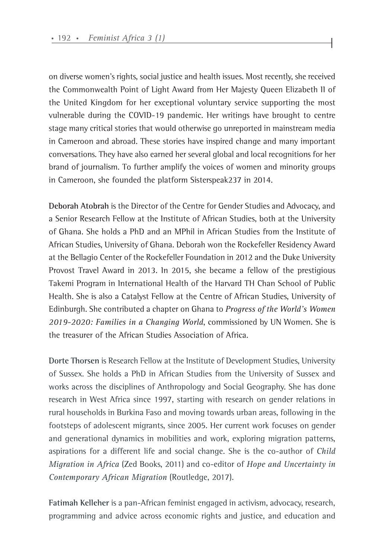on diverse women's rights, social justice and health issues. Most recently, she received the Commonwealth Point of Light Award from Her Majesty Queen Elizabeth II of the United Kingdom for her exceptional voluntary service supporting the most vulnerable during the COVID-19 pandemic. Her writings have brought to centre stage many critical stories that would otherwise go unreported in mainstream media in Cameroon and abroad. These stories have inspired change and many important conversations. They have also earned her several global and local recognitions for her brand of journalism. To further amplify the voices of women and minority groups in Cameroon, she founded the platform Sisterspeak237 in 2014.

**Deborah Atobrah** is the Director of the Centre for Gender Studies and Advocacy, and a Senior Research Fellow at the Institute of African Studies, both at the University of Ghana. She holds a PhD and an MPhil in African Studies from the Institute of African Studies, University of Ghana. Deborah won the Rockefeller Residency Award at the Bellagio Center of the Rockefeller Foundation in 2012 and the Duke University Provost Travel Award in 2013. In 2015, she became a fellow of the prestigious Takemi Program in International Health of the Harvard TH Chan School of Public Health. She is also a Catalyst Fellow at the Centre of African Studies, University of Edinburgh. She contributed a chapter on Ghana to *Progress of the World's Women 2019-2020: Families in a Changing World*, commissioned by UN Women. She is the treasurer of the African Studies Association of Africa.

**Dorte Thorsen** is Research Fellow at the Institute of Development Studies, University of Sussex. She holds a PhD in African Studies from the University of Sussex and works across the disciplines of Anthropology and Social Geography. She has done research in West Africa since 1997, starting with research on gender relations in rural households in Burkina Faso and moving towards urban areas, following in the footsteps of adolescent migrants, since 2005. Her current work focuses on gender and generational dynamics in mobilities and work, exploring migration patterns, aspirations for a different life and social change. She is the co-author of *Child Migration in Africa* (Zed Books, 2011) and co-editor of *Hope and Uncertainty in Contemporary African Migration* (Routledge, 2017).

**Fatimah Kelleher** is a pan-African feminist engaged in activism, advocacy, research, programming and advice across economic rights and justice, and education and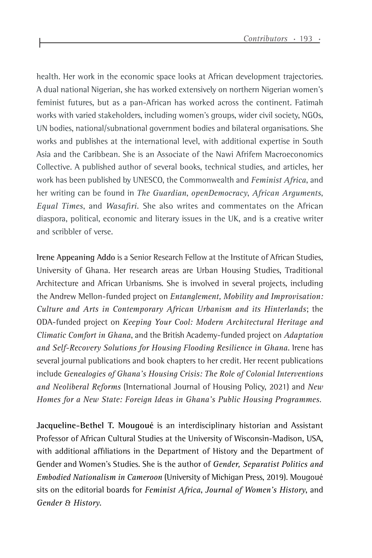health. Her work in the economic space looks at African development trajectories. A dual national Nigerian, she has worked extensively on northern Nigerian women's feminist futures, but as a pan-African has worked across the continent. Fatimah works with varied stakeholders, including women's groups, wider civil society, NGOs, UN bodies, national/subnational government bodies and bilateral organisations. She works and publishes at the international level, with additional expertise in South Asia and the Caribbean. She is an Associate of the Nawi Afrifem Macroeconomics Collective. A published author of several books, technical studies, and articles, her work has been published by UNESCO, the Commonwealth and *Feminist Africa*, and her writing can be found in *The Guardian*, *openDemocracy*, *African Arguments*, *Equal Times*, and *Wasafiri.* She also writes and commentates on the African diaspora, political, economic and literary issues in the UK, and is a creative writer and scribbler of verse.

**Irene Appeaning Addo** is a Senior Research Fellow at the Institute of African Studies, University of Ghana. Her research areas are Urban Housing Studies, Traditional Architecture and African Urbanisms. She is involved in several projects, including the Andrew Mellon-funded project on *Entanglement, Mobility and Improvisation: Culture and Arts in Contemporary African Urbanism and its Hinterlands*; the ODA-funded project on *Keeping Your Cool: Modern Architectural Heritage and Climatic Comfort in Ghana*, and the British Academy-funded project on *Adaptation and Self-Recovery Solutions for Housing Flooding Resilience in Ghana*. Irene has several journal publications and book chapters to her credit. Her recent publications include *Genealogies of Ghana's Housing Crisis: The Role of Colonial Interventions and Neoliberal Reforms* (International Journal of Housing Policy, 2021) and *New Homes for a New State: Foreign Ideas in Ghana's Public Housing Programmes.*

**Jacqueline-Bethel T. Mougoué** is an interdisciplinary historian and Assistant Professor of African Cultural Studies at the University of Wisconsin-Madison, USA, with additional affiliations in the Department of History and the Department of Gender and Women's Studies. She is the author of *Gender, Separatist Politics and Embodied Nationalism in Cameroon* (University of Michigan Press, 2019). Mougoué sits on the editorial boards for *Feminist Africa*, *Journal of Women's History*, and *Gender & History*.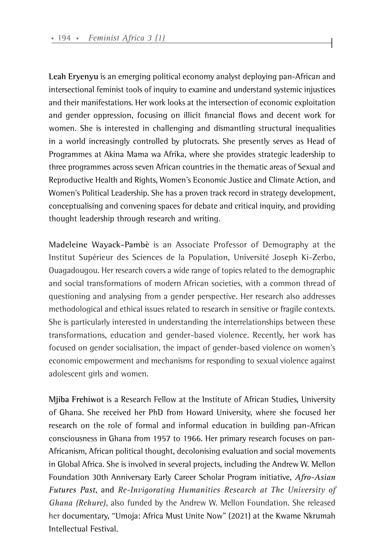**Leah Eryenyu** is an emerging political economy analyst deploying pan-African and intersectional feminist tools of inquiry to examine and understand systemic injustices and their manifestations. Her work looks at the intersection of economic exploitation and gender oppression, focusing on illicit financial flows and decent work for women. She is interested in challenging and dismantling structural inequalities in a world increasingly controlled by plutocrats. She presently serves as Head of Programmes at Akina Mama wa Afrika, where she provides strategic leadership to three programmes across seven African countries in the thematic areas of Sexual and Reproductive Health and Rights, Women's Economic Justice and Climate Action, and Women's Political Leadership. She has a proven track record in strategy development, conceptualising and convening spaces for debate and critical inquiry, and providing thought leadership through research and writing.

**Madeleine Wayack-Pambè** is an Associate Professor of Demography at the Institut Supérieur des Sciences de la Population, Université Joseph Ki-Zerbo, Ouagadougou. Her research covers a wide range of topics related to the demographic and social transformations of modern African societies, with a common thread of questioning and analysing from a gender perspective. Her research also addresses methodological and ethical issues related to research in sensitive or fragile contexts. She is particularly interested in understanding the interrelationships between these transformations, education and gender-based violence. Recently, her work has focused on gender socialisation, the impact of gender-based violence on women's economic empowerment and mechanisms for responding to sexual violence against adolescent girls and women.

**Mjiba Frehiwot** is a Research Fellow at the Institute of African Studies, University of Ghana. She received her PhD from Howard University, where she focused her research on the role of formal and informal education in building pan-African consciousness in Ghana from 1957 to 1966. Her primary research focuses on pan-Africanism, African political thought, decolonising evaluation and social movements in Global Africa. She is involved in several projects, including the Andrew W. Mellon Foundation 30th Anniversary Early Career Scholar Program initiative, *Afro-Asian Futures Past*, and *Re-Invigorating Humanities Research at The University of Ghana (Rehure)*, also funded by the Andrew W. Mellon Foundation. She released her documentary, "Umoja: Africa Must Unite Now" (2021) at the Kwame Nkrumah Intellectual Festival.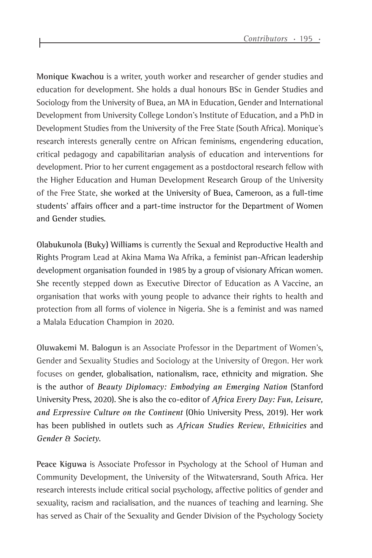**Monique Kwachou** is a writer, youth worker and researcher of gender studies and education for development. She holds a dual honours BSc in Gender Studies and Sociology from the University of Buea, an MA in Education, Gender and International Development from University College London's Institute of Education, and a PhD in Development Studies from the University of the Free State (South Africa). Monique's research interests generally centre on African feminisms, engendering education, critical pedagogy and capabilitarian analysis of education and interventions for development. Prior to her current engagement as a postdoctoral research fellow with the Higher Education and Human Development Research Group of the University of the Free State, she worked at the University of Buea, Cameroon, as a full-time students' affairs officer and a part-time instructor for the Department of Women and Gender studies.

**Olabukunola (Buky) Williams** is currently the Sexual and Reproductive Health and Rights Program Lead at Akina Mama Wa Afrika, a feminist pan-African leadership development organisation founded in 1985 by a group of visionary African women. She recently stepped down as Executive Director of Education as A Vaccine, an organisation that works with young people to advance their rights to health and protection from all forms of violence in Nigeria. She is a feminist and was named a Malala Education Champion in 2020.

**Oluwakemi M. Balogun** is an Associate Professor in the Department of Women's, Gender and Sexuality Studies and Sociology at the University of Oregon. Her work focuses on gender, globalisation, nationalism, race, ethnicity and migration. She is the author of *Beauty Diplomacy: Embodying an Emerging Nation* (Stanford University Press, 2020). She is also the co-editor of *Africa Every Day: Fun, Leisure, and Expressive Culture on the Continent* (Ohio University Press, 2019). Her work has been published in outlets such as *African Studies Review*, *Ethnicities* and *Gender & Society*.

**Peace Kiguwa** is Associate Professor in Psychology at the School of Human and Community Development, the University of the Witwatersrand, South Africa. Her research interests include critical social psychology, affective politics of gender and sexuality, racism and racialisation, and the nuances of teaching and learning. She has served as Chair of the Sexuality and Gender Division of the Psychology Society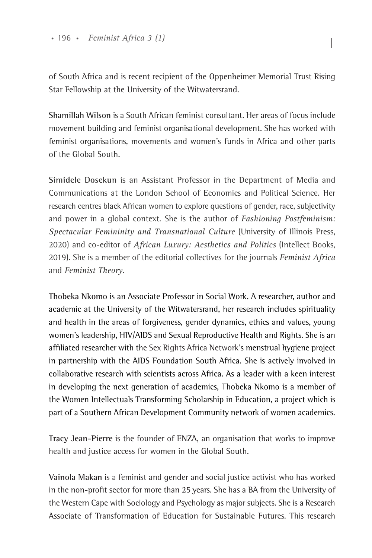of South Africa and is recent recipient of the Oppenheimer Memorial Trust Rising Star Fellowship at the University of the Witwatersrand.

**Shamillah Wilson** is a South African feminist consultant. Her areas of focus include movement building and feminist organisational development. She has worked with feminist organisations, movements and women's funds in Africa and other parts of the Global South.

**Simidele Dosekun** is an Assistant Professor in the Department of Media and Communications at the London School of Economics and Political Science. Her research centres black African women to explore questions of gender, race, subjectivity and power in a global context. She is the author of *Fashioning Postfeminism: Spectacular Femininity and Transnational Culture* (University of Illinois Press, 2020) and co-editor of *African Luxury: Aesthetics and Politics* (Intellect Books, 2019). She is a member of the editorial collectives for the journals *Feminist Africa* and *Feminist Theory*.

**Thobeka Nkomo** is an Associate Professor in Social Work. A researcher, author and academic at the University of the Witwatersrand, her research includes spirituality and health in the areas of forgiveness, gender dynamics, ethics and values, young women's leadership, HIV/AIDS and Sexual Reproductive Health and Rights. She is an affiliated researcher with the Sex Rights Africa Network's menstrual hygiene project in partnership with the AIDS Foundation South Africa. She is actively involved in collaborative research with scientists across Africa. As a leader with a keen interest in developing the next generation of academics, Thobeka Nkomo is a member of the Women Intellectuals Transforming Scholarship in Education, a project which is part of a Southern African Development Community network of women academics.

**Tracy Jean-Pierre** is the founder of ENZA, an organisation that works to improve health and justice access for women in the Global South.

**Vainola Makan** is a feminist and gender and social justice activist who has worked in the non-profit sector for more than 25 years. She has a BA from the University of the Western Cape with Sociology and Psychology as major subjects. She is a Research Associate of Transformation of Education for Sustainable Futures. This research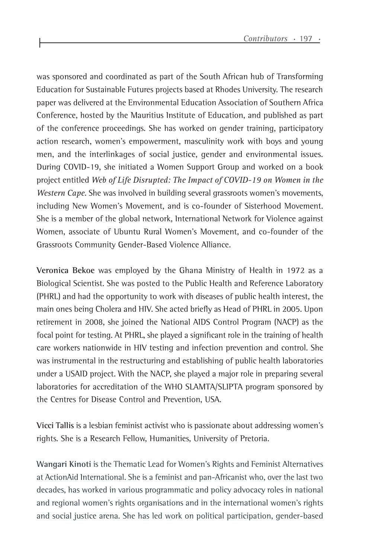was sponsored and coordinated as part of the South African hub of Transforming Education for Sustainable Futures projects based at Rhodes University. The research paper was delivered at the Environmental Education Association of Southern Africa Conference, hosted by the Mauritius Institute of Education, and published as part of the conference proceedings. She has worked on gender training, participatory action research, women's empowerment, masculinity work with boys and young men, and the interlinkages of social justice, gender and environmental issues. During COVID-19, she initiated a Women Support Group and worked on a book project entitled *Web of Life Disrupted: The Impact of COVID-19 on Women in the Western Cape*. She was involved in building several grassroots women's movements, including New Women's Movement, and is co-founder of Sisterhood Movement. She is a member of the global network, International Network for Violence against Women, associate of Ubuntu Rural Women's Movement, and co-founder of the Grassroots Community Gender-Based Violence Alliance.

**Veronica Bekoe** was employed by the Ghana Ministry of Health in 1972 as a Biological Scientist. She was posted to the Public Health and Reference Laboratory (PHRL) and had the opportunity to work with diseases of public health interest, the main ones being Cholera and HIV. She acted briefly as Head of PHRL in 2005. Upon retirement in 2008, she joined the National AIDS Control Program (NACP) as the focal point for testing. At PHRL, she played a significant role in the training of health care workers nationwide in HIV testing and infection prevention and control. She was instrumental in the restructuring and establishing of public health laboratories under a USAID project. With the NACP, she played a major role in preparing several laboratories for accreditation of the WHO SLAMTA/SLIPTA program sponsored by the Centres for Disease Control and Prevention, USA.

**Vicci Tallis** is a lesbian feminist activist who is passionate about addressing women's rights. She is a Research Fellow, Humanities, University of Pretoria.

**Wangari Kinoti** is the Thematic Lead for Women's Rights and Feminist Alternatives at ActionAid International. She is a feminist and pan-Africanist who, over the last two decades, has worked in various programmatic and policy advocacy roles in national and regional women's rights organisations and in the international women's rights and social justice arena. She has led work on political participation, gender-based